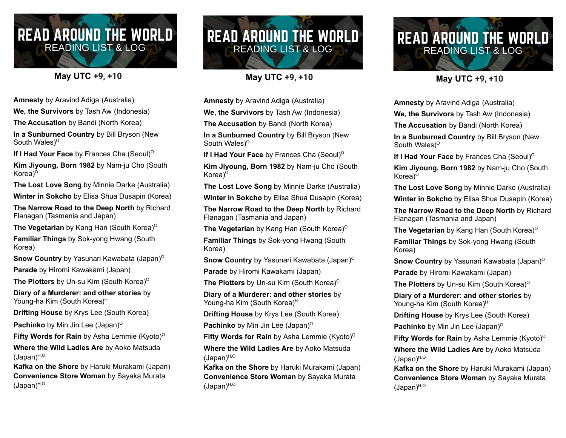## **READ AROUND THE WORLD READING LIST & LOG**

## **May UTC +9, +10**

**Amnesty** by Aravind Adiga (Australia)

**We, the Survivors** by Tash Aw (Indonesia)

**The Accusation** by Bandi (North Korea)

**In a Sunburned Country** by Bill Bryson (New South Wales)<sup>o</sup>

**If I Had Your Face** by Frances Cha (Seoul) O

**Kim Jiyoung, Born 1982** by Nam-ju Cho (South Korea)<sup>o</sup>

**The Lost Love Song** by Minnie Darke (Australia)

**Winter in Sokcho** by Elisa Shua Dusapin (Korea)

**The Narrow Road to the Deep North** by Richard Flanagan (Tasmania and Japan)

**The Vegetarian** by Kang Han (South Korea) O

**Familiar Things** by Sok-yong Hwang (South Korea)

**Snow Country** by Yasunari Kawabata (Japan)<sup>o</sup> **Parade** by Hiromi Kawakami (Japan)

**The Plotters** by Un-su Kim (South Korea) O

**Diary of a Murderer: and other stories** by Young-ha Kim (South Korea) H

**Drifting House** by Krys Lee (South Korea)

**Pachinko** by Min Jin Lee (Japan) O

**Fifty Words for Rain** by Asha Lemmie (Kyoto) O

**Where the Wild Ladies Are** by Aoko Matsuda (Japan) H,O

**Kafka on the Shore** by Haruki Murakami (Japan) **Convenience Store Woman** by Sayaka Murata (Japan) H,O



**May UTC +9, +10**

**Amnesty** by Aravind Adiga (Australia)

**We, the Survivors** by Tash Aw (Indonesia)

**The Accusation** by Bandi (North Korea)

**In a Sunburned Country** by Bill Bryson (New South Wales)<sup>o</sup>

**If I Had Your Face** by Frances Cha (Seoul) O

**Kim Jiyoung, Born 1982** by Nam-ju Cho (South Korea)<sup>o</sup>

**The Lost Love Song** by Minnie Darke (Australia)

**Winter in Sokcho** by Elisa Shua Dusapin (Korea)

**The Narrow Road to the Deep North** by Richard Flanagan (Tasmania and Japan)

**The Vegetarian** by Kang Han (South Korea) O

**Familiar Things** by Sok-yong Hwang (South Korea)

**Snow Country** by Yasunari Kawabata (Japan)<sup>o</sup>

**Parade** by Hiromi Kawakami (Japan)

**The Plotters** by Un-su Kim (South Korea) O

**Diary of a Murderer: and other stories** by Young-ha Kim (South Korea)<sup>H</sup>

**Drifting House** by Krys Lee (South Korea)

**Pachinko** by Min Jin Lee (Japan) O

**Fifty Words for Rain** by Asha Lemmie (Kyoto) O

**Where the Wild Ladies Are** by Aoko Matsuda (Japan) H,O

**Kafka on the Shore** by Haruki Murakami (Japan) **Convenience Store Woman** by Sayaka Murata (Japan) H,O



**May UTC +9, +10**

**Amnesty** by Aravind Adiga (Australia)

**We, the Survivors** by Tash Aw (Indonesia)

**The Accusation** by Bandi (North Korea)

**In a Sunburned Country** by Bill Bryson (New South Wales)<sup>o</sup>

**If I Had Your Face** by Frances Cha (Seoul) O

**Kim Jiyoung, Born 1982** by Nam-ju Cho (South Korea)<sup>o</sup>

**The Lost Love Song** by Minnie Darke (Australia)

**Winter in Sokcho** by Elisa Shua Dusapin (Korea)

**The Narrow Road to the Deep North** by Richard Flanagan (Tasmania and Japan)

**The Vegetarian** by Kang Han (South Korea) O

**Familiar Things** by Sok-yong Hwang (South Korea)

**Snow Country** by Yasunari Kawabata (Japan)<sup>o</sup> **Parade** by Hiromi Kawakami (Japan)

**The Plotters** by Un-su Kim (South Korea) O

**Diary of a Murderer: and other stories** by Young-ha Kim (South Korea) H

**Drifting House** by Krys Lee (South Korea)

**Pachinko** by Min Jin Lee (Japan)<sup>o</sup>

**Fifty Words for Rain** by Asha Lemmie (Kyoto) O

**Where the Wild Ladies Are** by Aoko Matsuda (Japan) H,O

**Kafka on the Shore** by Haruki Murakami (Japan) **Convenience Store Woman** by Sayaka Murata (Japan) H,O